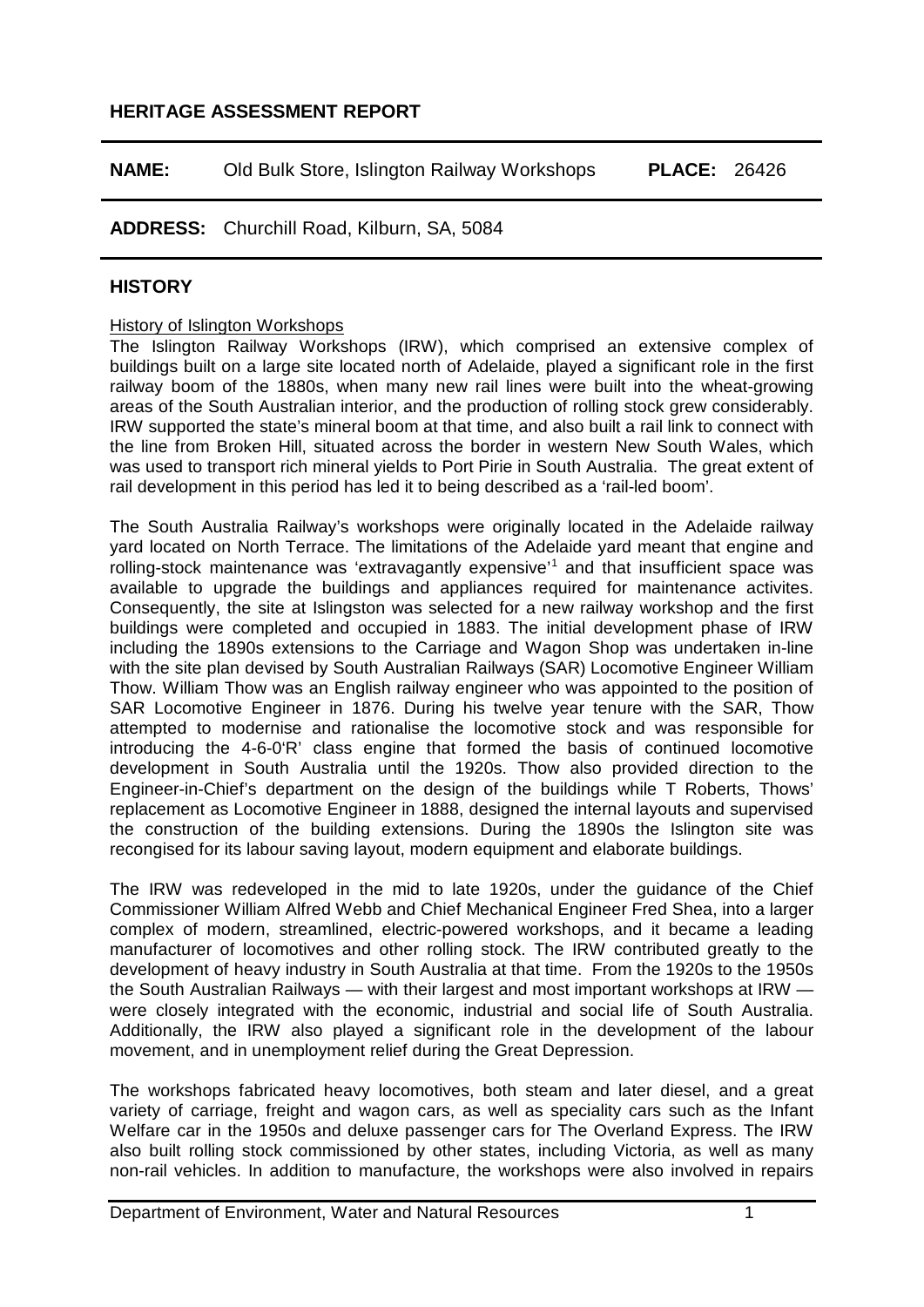## **HERITAGE ASSESSMENT REPORT**

| <b>NAME:</b> | Old Bulk Store, Islington Railway Workshops |  |  |  | <b>PLACE: 26426</b> |  |
|--------------|---------------------------------------------|--|--|--|---------------------|--|
|--------------|---------------------------------------------|--|--|--|---------------------|--|

## **ADDRESS:** Churchill Road, Kilburn, SA, 5084

## **HISTORY**

#### History of Islington Workshops

The Islington Railway Workshops (IRW), which comprised an extensive complex of buildings built on a large site located north of Adelaide, played a significant role in the first railway boom of the 1880s, when many new rail lines were built into the wheat-growing areas of the South Australian interior, and the production of rolling stock grew considerably. IRW supported the state's mineral boom at that time, and also built a rail link to connect with the line from Broken Hill, situated across the border in western New South Wales, which was used to transport rich mineral yields to Port Pirie in South Australia. The great extent of rail development in this period has led it to being described as a 'rail-led boom'.

The South Australia Railway's workshops were originally located in the Adelaide railway yard located on North Terrace. The limitations of the Adelaide yard meant that engine and rolling-stock maintenance was 'extravagantly expensive'1 and that insufficient space was available to upgrade the buildings and appliances required for maintenance activites. Consequently, the site at Islingston was selected for a new railway workshop and the first buildings were completed and occupied in 1883. The initial development phase of IRW including the 1890s extensions to the Carriage and Wagon Shop was undertaken in-line with the site plan devised by South Australian Railways (SAR) Locomotive Engineer William Thow. William Thow was an English railway engineer who was appointed to the position of SAR Locomotive Engineer in 1876. During his twelve year tenure with the SAR, Thow attempted to modernise and rationalise the locomotive stock and was responsible for introducing the 4-6-0'R' class engine that formed the basis of continued locomotive development in South Australia until the 1920s. Thow also provided direction to the Engineer-in-Chief's department on the design of the buildings while T Roberts, Thows' replacement as Locomotive Engineer in 1888, designed the internal layouts and supervised the construction of the building extensions. During the 1890s the Islington site was recongised for its labour saving layout, modern equipment and elaborate buildings.

The IRW was redeveloped in the mid to late 1920s, under the guidance of the Chief Commissioner William Alfred Webb and Chief Mechanical Engineer Fred Shea, into a larger complex of modern, streamlined, electric-powered workshops, and it became a leading manufacturer of locomotives and other rolling stock. The IRW contributed greatly to the development of heavy industry in South Australia at that time. From the 1920s to the 1950s the South Australian Railways — with their largest and most important workshops at IRW were closely integrated with the economic, industrial and social life of South Australia. Additionally, the IRW also played a significant role in the development of the labour movement, and in unemployment relief during the Great Depression.

The workshops fabricated heavy locomotives, both steam and later diesel, and a great variety of carriage, freight and wagon cars, as well as speciality cars such as the Infant Welfare car in the 1950s and deluxe passenger cars for The Overland Express. The IRW also built rolling stock commissioned by other states, including Victoria, as well as many non-rail vehicles. In addition to manufacture, the workshops were also involved in repairs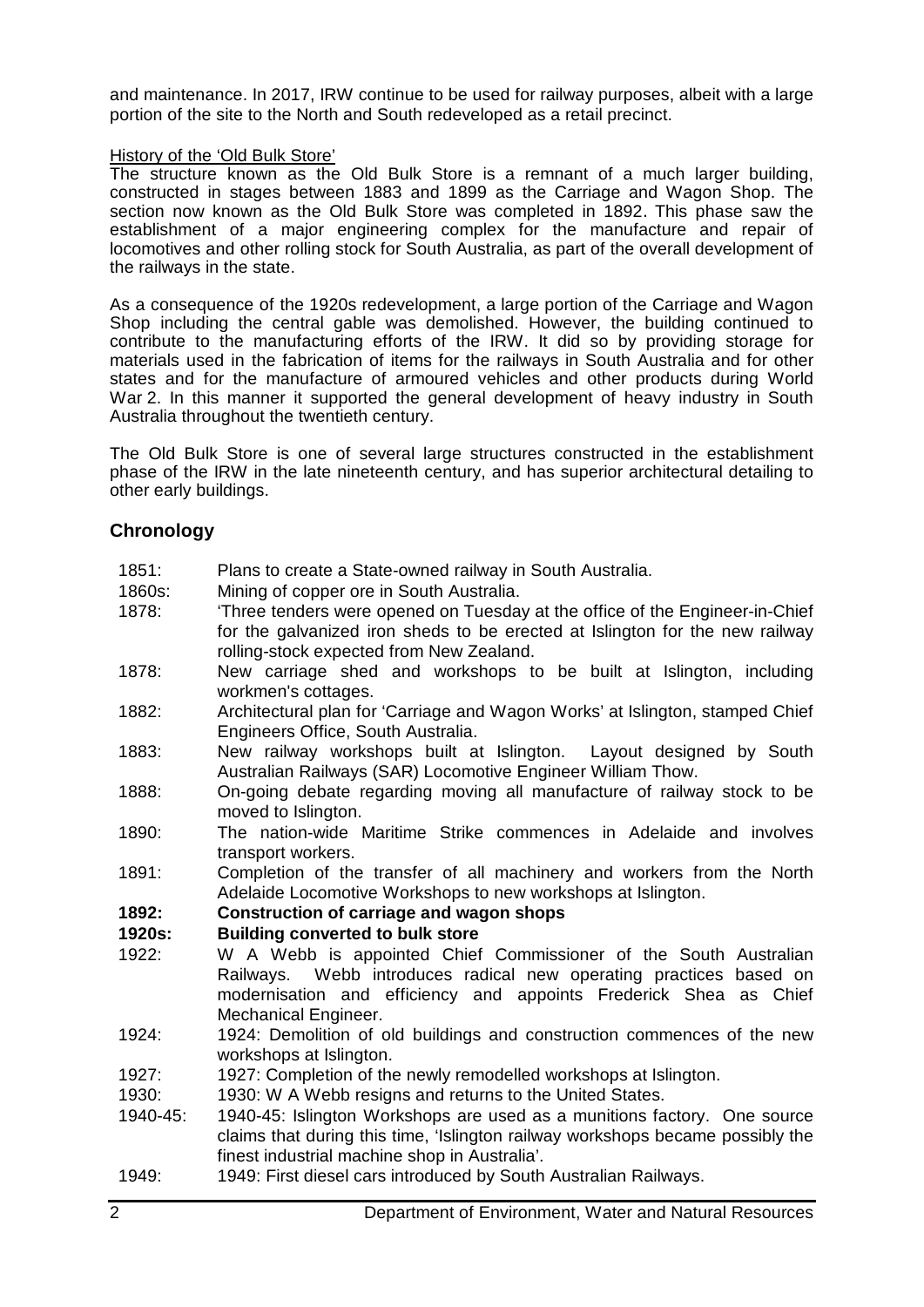and maintenance. In 2017, IRW continue to be used for railway purposes, albeit with a large portion of the site to the North and South redeveloped as a retail precinct.

## History of the 'Old Bulk Store'

The structure known as the Old Bulk Store is a remnant of a much larger building, constructed in stages between 1883 and 1899 as the Carriage and Wagon Shop. The section now known as the Old Bulk Store was completed in 1892. This phase saw the establishment of a major engineering complex for the manufacture and repair of locomotives and other rolling stock for South Australia, as part of the overall development of the railways in the state.

As a consequence of the 1920s redevelopment, a large portion of the Carriage and Wagon Shop including the central gable was demolished. However, the building continued to contribute to the manufacturing efforts of the IRW. It did so by providing storage for materials used in the fabrication of items for the railways in South Australia and for other states and for the manufacture of armoured vehicles and other products during World War 2. In this manner it supported the general development of heavy industry in South Australia throughout the twentieth century.

The Old Bulk Store is one of several large structures constructed in the establishment phase of the IRW in the late nineteenth century, and has superior architectural detailing to other early buildings.

# **Chronology**

| 1851:    | Plans to create a State-owned railway in South Australia.                                      |  |  |  |  |  |
|----------|------------------------------------------------------------------------------------------------|--|--|--|--|--|
| 1860s:   | Mining of copper ore in South Australia.                                                       |  |  |  |  |  |
| 1878:    | Three tenders were opened on Tuesday at the office of the Engineer-in-Chief                    |  |  |  |  |  |
|          | for the galvanized iron sheds to be erected at Islington for the new railway                   |  |  |  |  |  |
|          | rolling-stock expected from New Zealand.                                                       |  |  |  |  |  |
| 1878:    | New carriage shed and workshops to be built at Islington, including                            |  |  |  |  |  |
|          | workmen's cottages.                                                                            |  |  |  |  |  |
| 1882:    | Architectural plan for 'Carriage and Wagon Works' at Islington, stamped Chief                  |  |  |  |  |  |
|          | Engineers Office, South Australia.                                                             |  |  |  |  |  |
| 1883:    | New railway workshops built at Islington. Layout designed by South                             |  |  |  |  |  |
|          | Australian Railways (SAR) Locomotive Engineer William Thow.                                    |  |  |  |  |  |
| 1888:    | On-going debate regarding moving all manufacture of railway stock to be<br>moved to Islington. |  |  |  |  |  |
| 1890:    | The nation-wide Maritime Strike commences in Adelaide and involves                             |  |  |  |  |  |
|          | transport workers.                                                                             |  |  |  |  |  |
| 1891:    | Completion of the transfer of all machinery and workers from the North                         |  |  |  |  |  |
|          | Adelaide Locomotive Workshops to new workshops at Islington.                                   |  |  |  |  |  |
| 1892:    | <b>Construction of carriage and wagon shops</b>                                                |  |  |  |  |  |
| 1920s:   | <b>Building converted to bulk store</b>                                                        |  |  |  |  |  |
| 1922:    | W A Webb is appointed Chief Commissioner of the South Australian                               |  |  |  |  |  |
|          | Railways. Webb introduces radical new operating practices based on                             |  |  |  |  |  |
|          | modernisation and efficiency and appoints Frederick Shea as Chief                              |  |  |  |  |  |
|          | Mechanical Engineer.                                                                           |  |  |  |  |  |
| 1924:    | 1924: Demolition of old buildings and construction commences of the new                        |  |  |  |  |  |
|          | workshops at Islington.                                                                        |  |  |  |  |  |
| 1927:    | 1927: Completion of the newly remodelled workshops at Islington.                               |  |  |  |  |  |
| 1930:    | 1930: W A Webb resigns and returns to the United States.                                       |  |  |  |  |  |
| 1940-45: | 1940-45: Islington Workshops are used as a munitions factory. One source                       |  |  |  |  |  |
|          | claims that during this time, 'Islington railway workshops became possibly the                 |  |  |  |  |  |
|          | finest industrial machine shop in Australia'.                                                  |  |  |  |  |  |
| 1949:    | 1949: First diesel cars introduced by South Australian Railways.                               |  |  |  |  |  |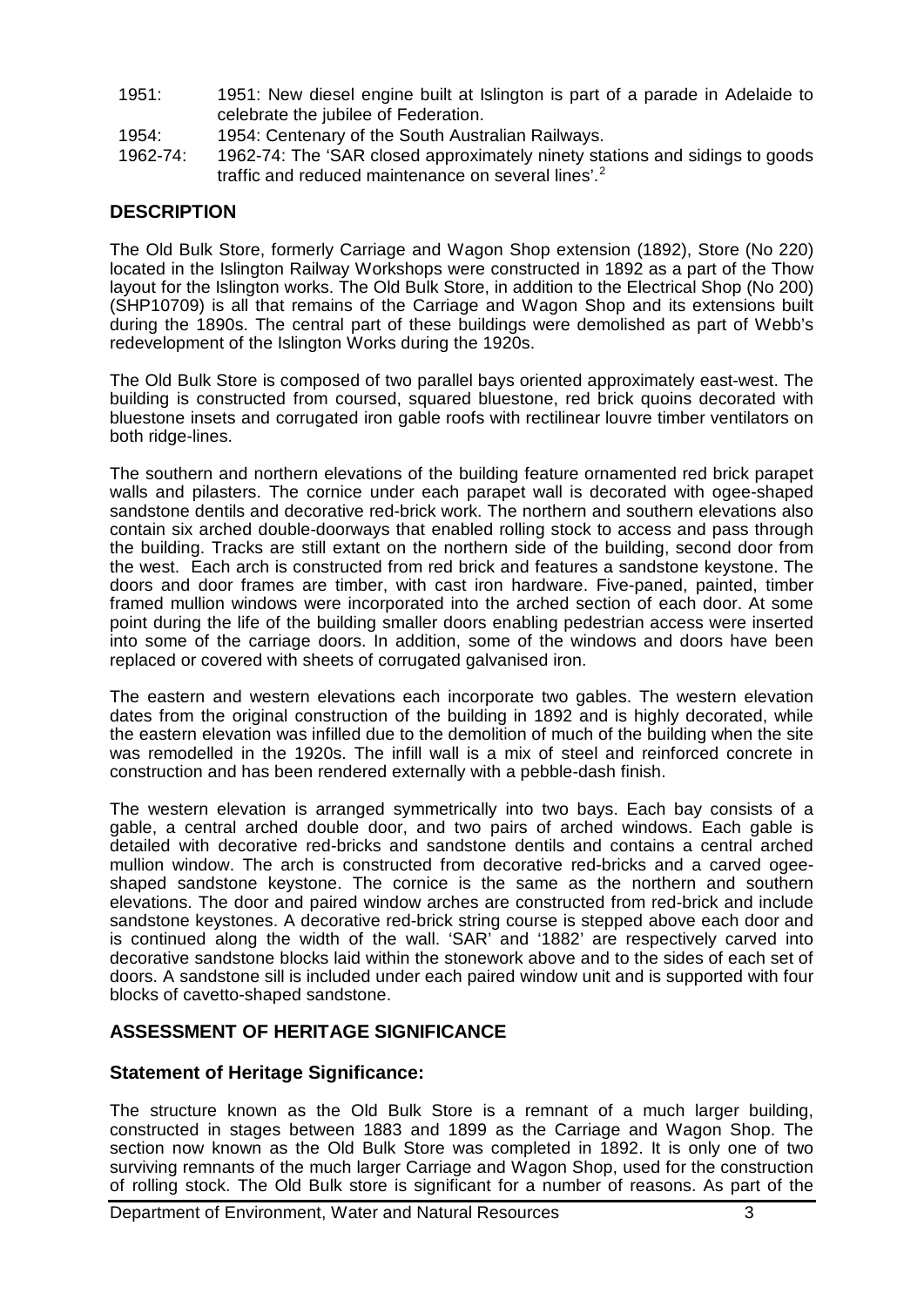- 1951: 1951: New diesel engine built at Islington is part of a parade in Adelaide to celebrate the jubilee of Federation.
- 1954: 1954: Centenary of the South Australian Railways.
- 1962-74: 1962-74: The 'SAR closed approximately ninety stations and sidings to goods traffic and reduced maintenance on several lines'.<sup>2</sup>

# **DESCRIPTION**

The Old Bulk Store, formerly Carriage and Wagon Shop extension (1892), Store (No 220) located in the Islington Railway Workshops were constructed in 1892 as a part of the Thow layout for the Islington works. The Old Bulk Store, in addition to the Electrical Shop (No 200) (SHP10709) is all that remains of the Carriage and Wagon Shop and its extensions built during the 1890s. The central part of these buildings were demolished as part of Webb's redevelopment of the Islington Works during the 1920s.

The Old Bulk Store is composed of two parallel bays oriented approximately east-west. The building is constructed from coursed, squared bluestone, red brick quoins decorated with bluestone insets and corrugated iron gable roofs with rectilinear louvre timber ventilators on both ridge-lines.

The southern and northern elevations of the building feature ornamented red brick parapet walls and pilasters. The cornice under each parapet wall is decorated with ogee-shaped sandstone dentils and decorative red-brick work. The northern and southern elevations also contain six arched double-doorways that enabled rolling stock to access and pass through the building. Tracks are still extant on the northern side of the building, second door from the west. Each arch is constructed from red brick and features a sandstone keystone. The doors and door frames are timber, with cast iron hardware. Five-paned, painted, timber framed mullion windows were incorporated into the arched section of each door. At some point during the life of the building smaller doors enabling pedestrian access were inserted into some of the carriage doors. In addition, some of the windows and doors have been replaced or covered with sheets of corrugated galvanised iron.

The eastern and western elevations each incorporate two gables. The western elevation dates from the original construction of the building in 1892 and is highly decorated, while the eastern elevation was infilled due to the demolition of much of the building when the site was remodelled in the 1920s. The infill wall is a mix of steel and reinforced concrete in construction and has been rendered externally with a pebble-dash finish.

The western elevation is arranged symmetrically into two bays. Each bay consists of a gable, a central arched double door, and two pairs of arched windows. Each gable is detailed with decorative red-bricks and sandstone dentils and contains a central arched mullion window. The arch is constructed from decorative red-bricks and a carved ogeeshaped sandstone keystone. The cornice is the same as the northern and southern elevations. The door and paired window arches are constructed from red-brick and include sandstone keystones. A decorative red-brick string course is stepped above each door and is continued along the width of the wall. 'SAR' and '1882' are respectively carved into decorative sandstone blocks laid within the stonework above and to the sides of each set of doors. A sandstone sill is included under each paired window unit and is supported with four blocks of cavetto-shaped sandstone.

# **ASSESSMENT OF HERITAGE SIGNIFICANCE**

## **Statement of Heritage Significance:**

The structure known as the Old Bulk Store is a remnant of a much larger building, constructed in stages between 1883 and 1899 as the Carriage and Wagon Shop. The section now known as the Old Bulk Store was completed in 1892. It is only one of two surviving remnants of the much larger Carriage and Wagon Shop, used for the construction of rolling stock. The Old Bulk store is significant for a number of reasons. As part of the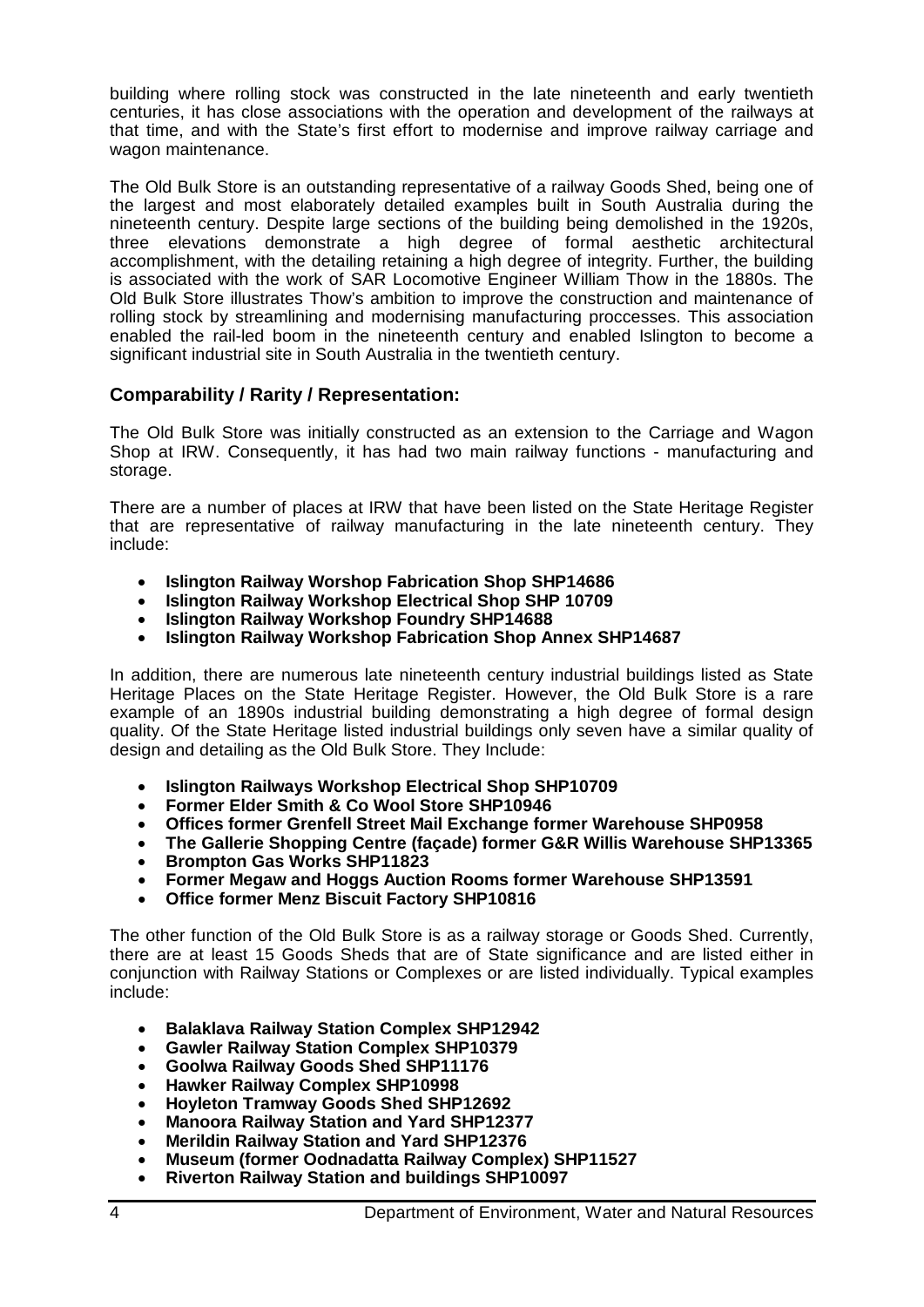building where rolling stock was constructed in the late nineteenth and early twentieth centuries, it has close associations with the operation and development of the railways at that time, and with the State's first effort to modernise and improve railway carriage and wagon maintenance.

The Old Bulk Store is an outstanding representative of a railway Goods Shed, being one of the largest and most elaborately detailed examples built in South Australia during the nineteenth century. Despite large sections of the building being demolished in the 1920s, three elevations demonstrate a high degree of formal aesthetic architectural accomplishment, with the detailing retaining a high degree of integrity. Further, the building is associated with the work of SAR Locomotive Engineer William Thow in the 1880s. The Old Bulk Store illustrates Thow's ambition to improve the construction and maintenance of rolling stock by streamlining and modernising manufacturing proccesses. This association enabled the rail-led boom in the nineteenth century and enabled Islington to become a significant industrial site in South Australia in the twentieth century.

# **Comparability / Rarity / Representation:**

The Old Bulk Store was initially constructed as an extension to the Carriage and Wagon Shop at IRW. Consequently, it has had two main railway functions - manufacturing and storage.

There are a number of places at IRW that have been listed on the State Heritage Register that are representative of railway manufacturing in the late nineteenth century. They include:

- **Islington Railway Worshop Fabrication Shop SHP14686**
- **Islington Railway Workshop Electrical Shop SHP 10709**
- **Islington Railway Workshop Foundry SHP14688**
- **Islington Railway Workshop Fabrication Shop Annex SHP14687**

In addition, there are numerous late nineteenth century industrial buildings listed as State Heritage Places on the State Heritage Register. However, the Old Bulk Store is a rare example of an 1890s industrial building demonstrating a high degree of formal design quality. Of the State Heritage listed industrial buildings only seven have a similar quality of design and detailing as the Old Bulk Store. They Include:

- **Islington Railways Workshop Electrical Shop SHP10709**
- **Former Elder Smith & Co Wool Store SHP10946**
- **Offices former Grenfell Street Mail Exchange former Warehouse SHP0958**
- **The Gallerie Shopping Centre (façade) former G&R Willis Warehouse SHP13365**
- **Brompton Gas Works SHP11823**
- **Former Megaw and Hoggs Auction Rooms former Warehouse SHP13591**
- **Office former Menz Biscuit Factory SHP10816**

The other function of the Old Bulk Store is as a railway storage or Goods Shed. Currently, there are at least 15 Goods Sheds that are of State significance and are listed either in conjunction with Railway Stations or Complexes or are listed individually. Typical examples include:

- **Balaklava Railway Station Complex SHP12942**
- **Gawler Railway Station Complex SHP10379**
- **Goolwa Railway Goods Shed SHP11176**
- **Hawker Railway Complex SHP10998**
- **Hoyleton Tramway Goods Shed SHP12692**
- **Manoora Railway Station and Yard SHP12377**
- **Merildin Railway Station and Yard SHP12376**
- **Museum (former Oodnadatta Railway Complex) SHP11527**
- **Riverton Railway Station and buildings SHP10097**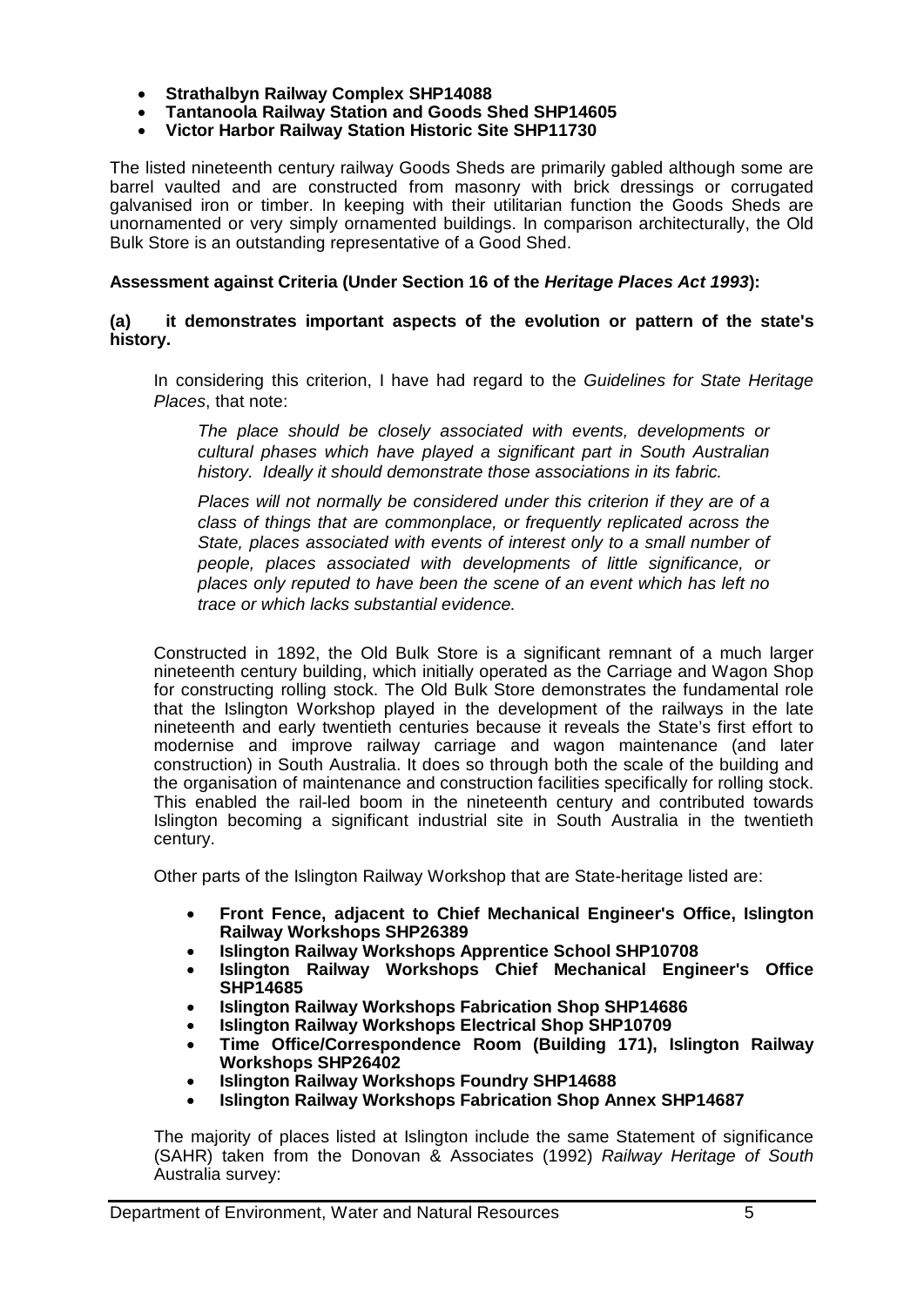- **Strathalbyn Railway Complex SHP14088**
- **Tantanoola Railway Station and Goods Shed SHP14605**
- **Victor Harbor Railway Station Historic Site SHP11730**

The listed nineteenth century railway Goods Sheds are primarily gabled although some are barrel vaulted and are constructed from masonry with brick dressings or corrugated galvanised iron or timber. In keeping with their utilitarian function the Goods Sheds are unornamented or very simply ornamented buildings. In comparison architecturally, the Old Bulk Store is an outstanding representative of a Good Shed.

## **Assessment against Criteria (Under Section 16 of the** *Heritage Places Act 1993***):**

### **(a) it demonstrates important aspects of the evolution or pattern of the state's history.**

In considering this criterion, I have had regard to the *Guidelines for State Heritage Places*, that note:

*The place should be closely associated with events, developments or cultural phases which have played a significant part in South Australian history. Ideally it should demonstrate those associations in its fabric.*

*Places will not normally be considered under this criterion if they are of a class of things that are commonplace, or frequently replicated across the State, places associated with events of interest only to a small number of people, places associated with developments of little significance, or places only reputed to have been the scene of an event which has left no trace or which lacks substantial evidence.*

Constructed in 1892, the Old Bulk Store is a significant remnant of a much larger nineteenth century building, which initially operated as the Carriage and Wagon Shop for constructing rolling stock. The Old Bulk Store demonstrates the fundamental role that the Islington Workshop played in the development of the railways in the late nineteenth and early twentieth centuries because it reveals the State's first effort to modernise and improve railway carriage and wagon maintenance (and later construction) in South Australia. It does so through both the scale of the building and the organisation of maintenance and construction facilities specifically for rolling stock. This enabled the rail-led boom in the nineteenth century and contributed towards Islington becoming a significant industrial site in South Australia in the twentieth century.

Other parts of the Islington Railway Workshop that are State-heritage listed are:

- **Front Fence, adjacent to Chief Mechanical Engineer's Office, Islington Railway Workshops SHP26389**
- **Islington Railway Workshops Apprentice School SHP10708**
- **Islington Railway Workshops Chief Mechanical Engineer's Office SHP14685**
- **Islington Railway Workshops Fabrication Shop SHP14686**
- **Islington Railway Workshops Electrical Shop SHP10709**
- **Time Office/Correspondence Room (Building 171), Islington Railway Workshops SHP26402**
- **Islington Railway Workshops Foundry SHP14688**
- **Islington Railway Workshops Fabrication Shop Annex SHP14687**

The majority of places listed at Islington include the same Statement of significance (SAHR) taken from the Donovan & Associates (1992) *Railway Heritage of South* Australia survey: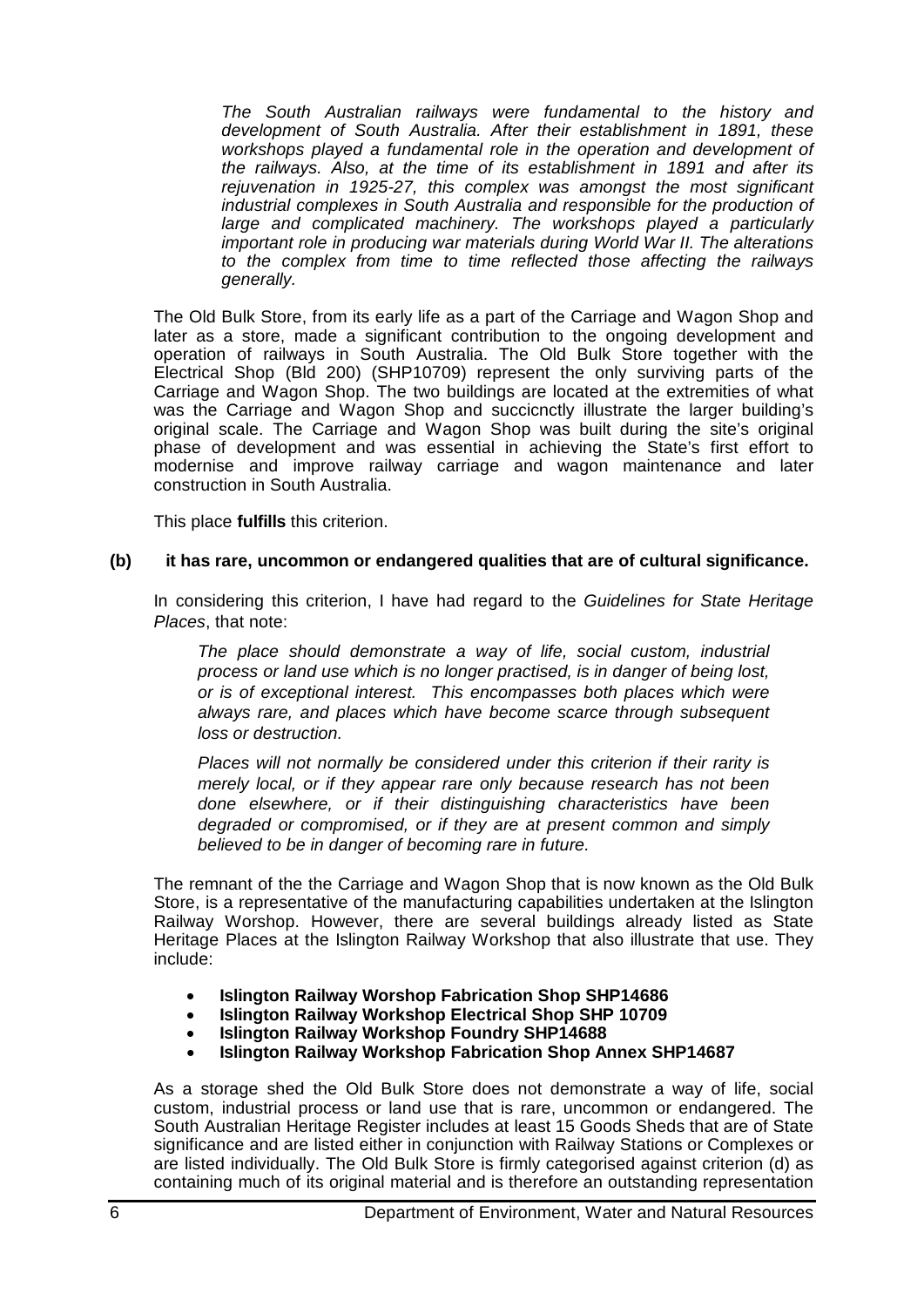*The South Australian railways were fundamental to the history and development of South Australia. After their establishment in 1891, these workshops played a fundamental role in the operation and development of the railways. Also, at the time of its establishment in 1891 and after its rejuvenation in 1925-27, this complex was amongst the most significant industrial complexes in South Australia and responsible for the production of large and complicated machinery. The workshops played a particularly important role in producing war materials during World War II. The alterations to the complex from time to time reflected those affecting the railways generally.*

The Old Bulk Store, from its early life as a part of the Carriage and Wagon Shop and later as a store, made a significant contribution to the ongoing development and operation of railways in South Australia. The Old Bulk Store together with the Electrical Shop (Bld 200) (SHP10709) represent the only surviving parts of the Carriage and Wagon Shop. The two buildings are located at the extremities of what was the Carriage and Wagon Shop and succicnctly illustrate the larger building's original scale. The Carriage and Wagon Shop was built during the site's original phase of development and was essential in achieving the State's first effort to modernise and improve railway carriage and wagon maintenance and later construction in South Australia.

This place **fulfills** this criterion.

#### **(b) it has rare, uncommon or endangered qualities that are of cultural significance.**

In considering this criterion, I have had regard to the *Guidelines for State Heritage Places*, that note:

*The place should demonstrate a way of life, social custom, industrial process or land use which is no longer practised, is in danger of being lost, or is of exceptional interest. This encompasses both places which were always rare, and places which have become scarce through subsequent loss or destruction.*

*Places will not normally be considered under this criterion if their rarity is merely local, or if they appear rare only because research has not been done elsewhere, or if their distinguishing characteristics have been degraded or compromised, or if they are at present common and simply believed to be in danger of becoming rare in future.*

The remnant of the the Carriage and Wagon Shop that is now known as the Old Bulk Store, is a representative of the manufacturing capabilities undertaken at the Islington Railway Worshop. However, there are several buildings already listed as State Heritage Places at the Islington Railway Workshop that also illustrate that use. They include:

- **Islington Railway Worshop Fabrication Shop SHP14686**
- **Islington Railway Workshop Electrical Shop SHP 10709**
- **Islington Railway Workshop Foundry SHP14688**
- **Islington Railway Workshop Fabrication Shop Annex SHP14687**

As a storage shed the Old Bulk Store does not demonstrate a way of life, social custom, industrial process or land use that is rare, uncommon or endangered. The South Australian Heritage Register includes at least 15 Goods Sheds that are of State significance and are listed either in conjunction with Railway Stations or Complexes or are listed individually. The Old Bulk Store is firmly categorised against criterion (d) as containing much of its original material and is therefore an outstanding representation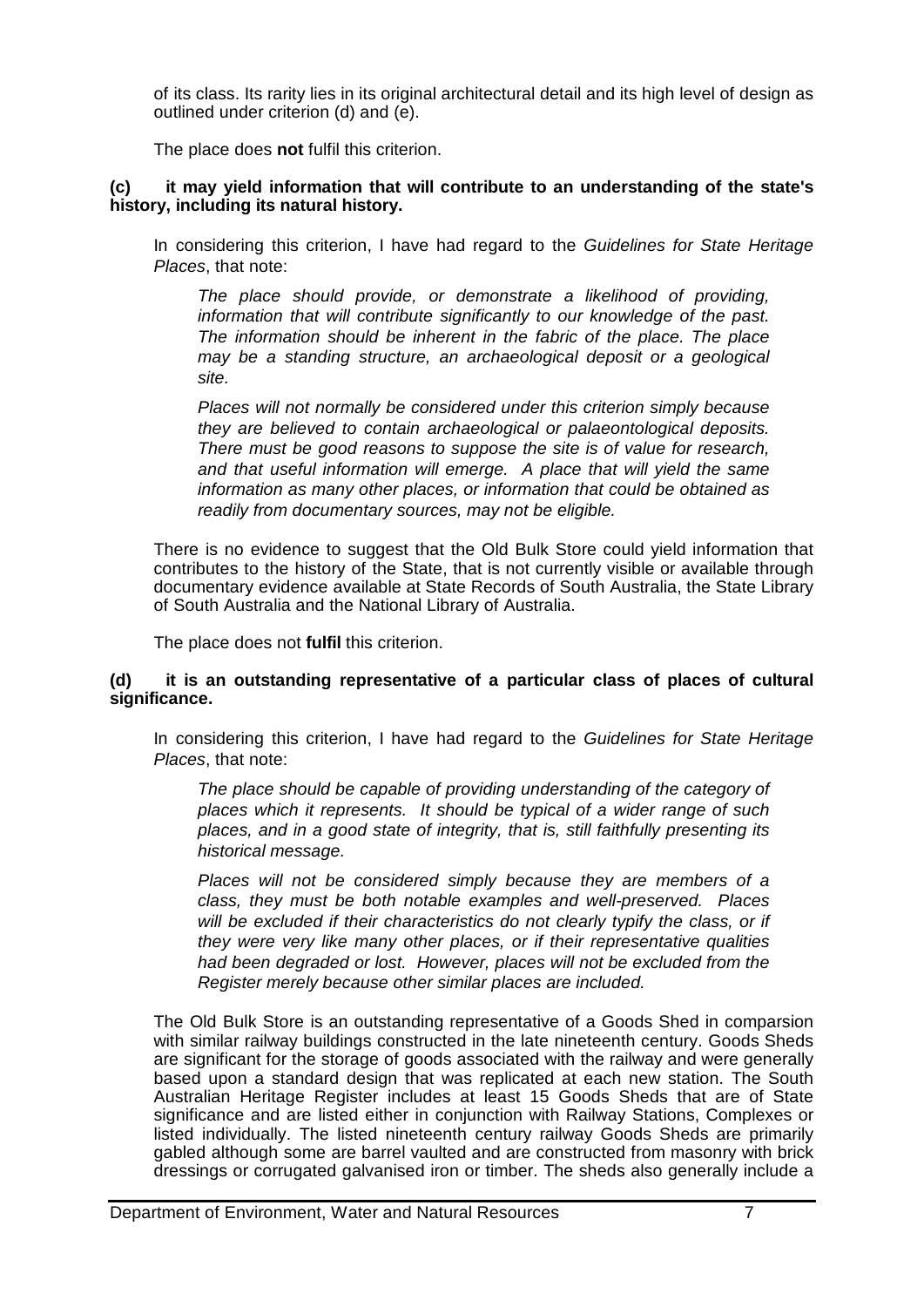of its class. Its rarity lies in its original architectural detail and its high level of design as outlined under criterion (d) and (e).

The place does **not** fulfil this criterion.

## **(c) it may yield information that will contribute to an understanding of the state's history, including its natural history.**

In considering this criterion, I have had regard to the *Guidelines for State Heritage Places*, that note:

*The place should provide, or demonstrate a likelihood of providing, information that will contribute significantly to our knowledge of the past. The information should be inherent in the fabric of the place. The place may be a standing structure, an archaeological deposit or a geological site.*

*Places will not normally be considered under this criterion simply because they are believed to contain archaeological or palaeontological deposits. There must be good reasons to suppose the site is of value for research, and that useful information will emerge. A place that will yield the same information as many other places, or information that could be obtained as readily from documentary sources, may not be eligible.*

There is no evidence to suggest that the Old Bulk Store could yield information that contributes to the history of the State, that is not currently visible or available through documentary evidence available at State Records of South Australia, the State Library of South Australia and the National Library of Australia.

The place does not **fulfil** this criterion.

## **(d) it is an outstanding representative of a particular class of places of cultural significance.**

In considering this criterion, I have had regard to the *Guidelines for State Heritage Places*, that note:

*The place should be capable of providing understanding of the category of places which it represents. It should be typical of a wider range of such places, and in a good state of integrity, that is, still faithfully presenting its historical message.*

*Places will not be considered simply because they are members of a class, they must be both notable examples and well-preserved. Places will be excluded if their characteristics do not clearly typify the class, or if they were very like many other places, or if their representative qualities had been degraded or lost. However, places will not be excluded from the Register merely because other similar places are included.*

The Old Bulk Store is an outstanding representative of a Goods Shed in comparsion with similar railway buildings constructed in the late nineteenth century. Goods Sheds are significant for the storage of goods associated with the railway and were generally based upon a standard design that was replicated at each new station. The South Australian Heritage Register includes at least 15 Goods Sheds that are of State significance and are listed either in conjunction with Railway Stations, Complexes or listed individually. The listed nineteenth century railway Goods Sheds are primarily gabled although some are barrel vaulted and are constructed from masonry with brick dressings or corrugated galvanised iron or timber. The sheds also generally include a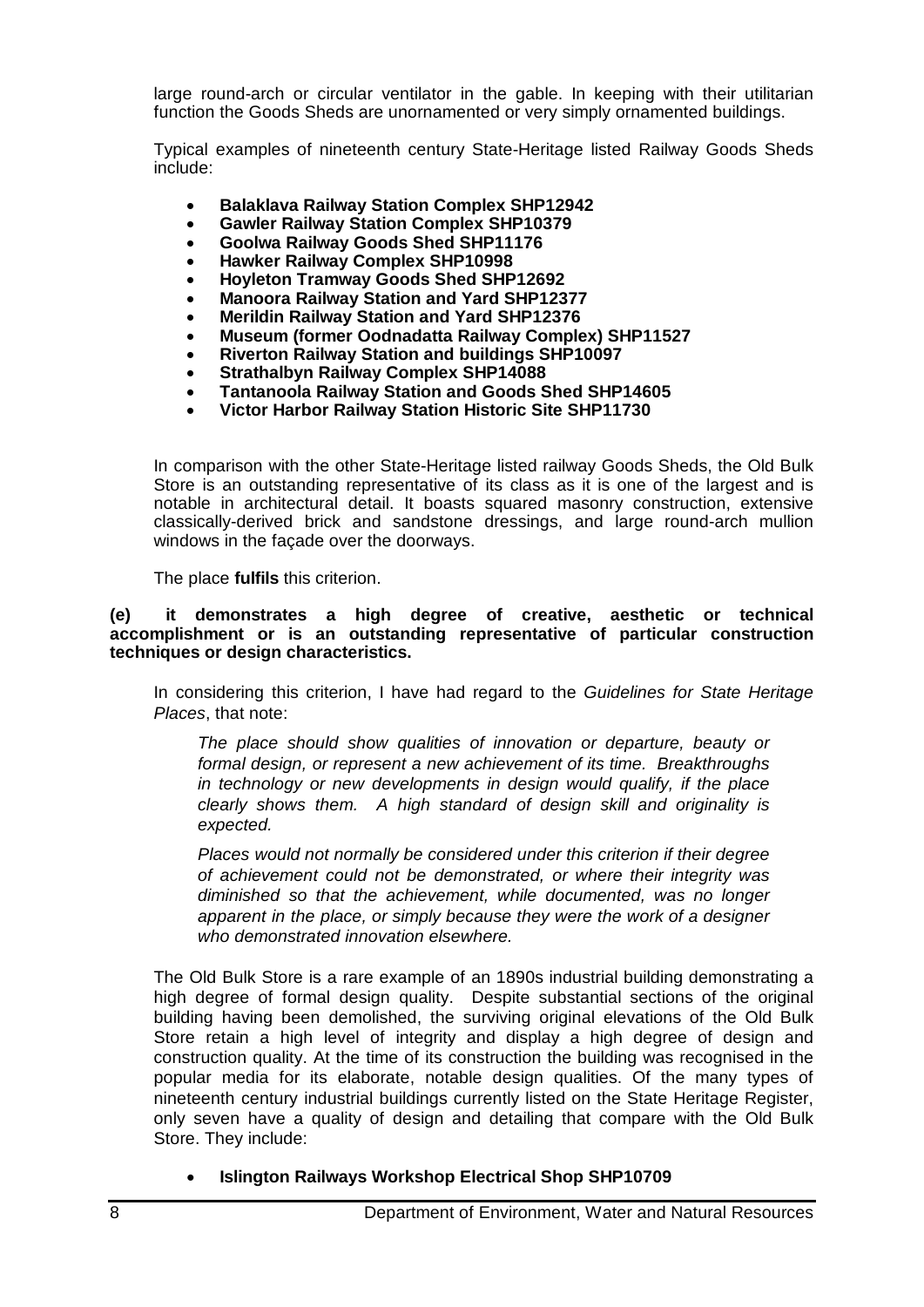large round-arch or circular ventilator in the gable. In keeping with their utilitarian function the Goods Sheds are unornamented or very simply ornamented buildings.

Typical examples of nineteenth century State-Heritage listed Railway Goods Sheds include:

- **Balaklava Railway Station Complex SHP12942**
- **Gawler Railway Station Complex SHP10379**
- **Goolwa Railway Goods Shed SHP11176**
- **Hawker Railway Complex SHP10998**
- **Hoyleton Tramway Goods Shed SHP12692**
- **Manoora Railway Station and Yard SHP12377**
- **Merildin Railway Station and Yard SHP12376**
- **Museum (former Oodnadatta Railway Complex) SHP11527**
- **Riverton Railway Station and buildings SHP10097**
- **Strathalbyn Railway Complex SHP14088**
- **Tantanoola Railway Station and Goods Shed SHP14605**
- **Victor Harbor Railway Station Historic Site SHP11730**

In comparison with the other State-Heritage listed railway Goods Sheds, the Old Bulk Store is an outstanding representative of its class as it is one of the largest and is notable in architectural detail. It boasts squared masonry construction, extensive classically-derived brick and sandstone dressings, and large round-arch mullion windows in the façade over the doorways.

The place **fulfils** this criterion.

#### **(e) it demonstrates a high degree of creative, aesthetic or technical accomplishment or is an outstanding representative of particular construction techniques or design characteristics.**

In considering this criterion, I have had regard to the *Guidelines for State Heritage Places*, that note:

*The place should show qualities of innovation or departure, beauty or formal design, or represent a new achievement of its time. Breakthroughs in technology or new developments in design would qualify, if the place clearly shows them. A high standard of design skill and originality is expected.*

*Places would not normally be considered under this criterion if their degree of achievement could not be demonstrated, or where their integrity was diminished so that the achievement, while documented, was no longer apparent in the place, or simply because they were the work of a designer who demonstrated innovation elsewhere.*

The Old Bulk Store is a rare example of an 1890s industrial building demonstrating a high degree of formal design quality. Despite substantial sections of the original building having been demolished, the surviving original elevations of the Old Bulk Store retain a high level of integrity and display a high degree of design and construction quality. At the time of its construction the building was recognised in the popular media for its elaborate, notable design qualities. Of the many types of nineteenth century industrial buildings currently listed on the State Heritage Register, only seven have a quality of design and detailing that compare with the Old Bulk Store. They include:

• **Islington Railways Workshop Electrical Shop SHP10709**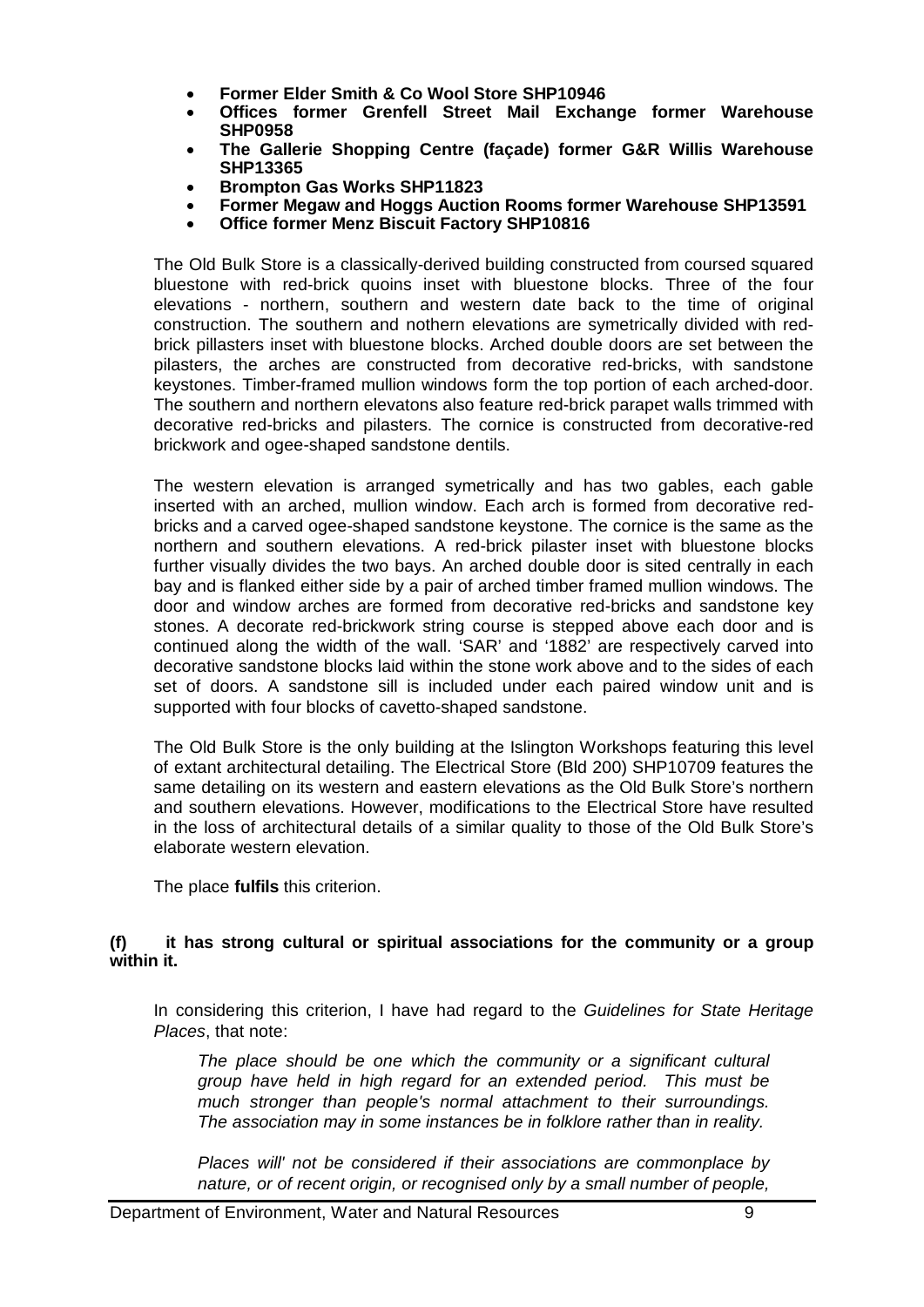- **Former Elder Smith & Co Wool Store SHP10946**
- **Offices former Grenfell Street Mail Exchange former Warehouse SHP0958**
- **The Gallerie Shopping Centre (façade) former G&R Willis Warehouse SHP13365**
- **Brompton Gas Works SHP11823**
- **Former Megaw and Hoggs Auction Rooms former Warehouse SHP13591**
- **Office former Menz Biscuit Factory SHP10816**

The Old Bulk Store is a classically-derived building constructed from coursed squared bluestone with red-brick quoins inset with bluestone blocks. Three of the four elevations - northern, southern and western date back to the time of original construction. The southern and nothern elevations are symetrically divided with redbrick pillasters inset with bluestone blocks. Arched double doors are set between the pilasters, the arches are constructed from decorative red-bricks, with sandstone keystones. Timber-framed mullion windows form the top portion of each arched-door. The southern and northern elevatons also feature red-brick parapet walls trimmed with decorative red-bricks and pilasters. The cornice is constructed from decorative-red brickwork and ogee-shaped sandstone dentils.

The western elevation is arranged symetrically and has two gables, each gable inserted with an arched, mullion window. Each arch is formed from decorative redbricks and a carved ogee-shaped sandstone keystone. The cornice is the same as the northern and southern elevations. A red-brick pilaster inset with bluestone blocks further visually divides the two bays. An arched double door is sited centrally in each bay and is flanked either side by a pair of arched timber framed mullion windows. The door and window arches are formed from decorative red-bricks and sandstone key stones. A decorate red-brickwork string course is stepped above each door and is continued along the width of the wall. 'SAR' and '1882' are respectively carved into decorative sandstone blocks laid within the stone work above and to the sides of each set of doors. A sandstone sill is included under each paired window unit and is supported with four blocks of cavetto-shaped sandstone.

The Old Bulk Store is the only building at the Islington Workshops featuring this level of extant architectural detailing. The Electrical Store (Bld 200) SHP10709 features the same detailing on its western and eastern elevations as the Old Bulk Store's northern and southern elevations. However, modifications to the Electrical Store have resulted in the loss of architectural details of a similar quality to those of the Old Bulk Store's elaborate western elevation.

The place **fulfils** this criterion.

## **(f) it has strong cultural or spiritual associations for the community or a group within it.**

In considering this criterion, I have had regard to the *Guidelines for State Heritage Places*, that note:

*The place should be one which the community or a significant cultural group have held in high regard for an extended period. This must be much stronger than people's normal attachment to their surroundings. The association may in some instances be in folklore rather than in reality.*

*Places will' not be considered if their associations are commonplace by nature, or of recent origin, or recognised only by a small number of people,*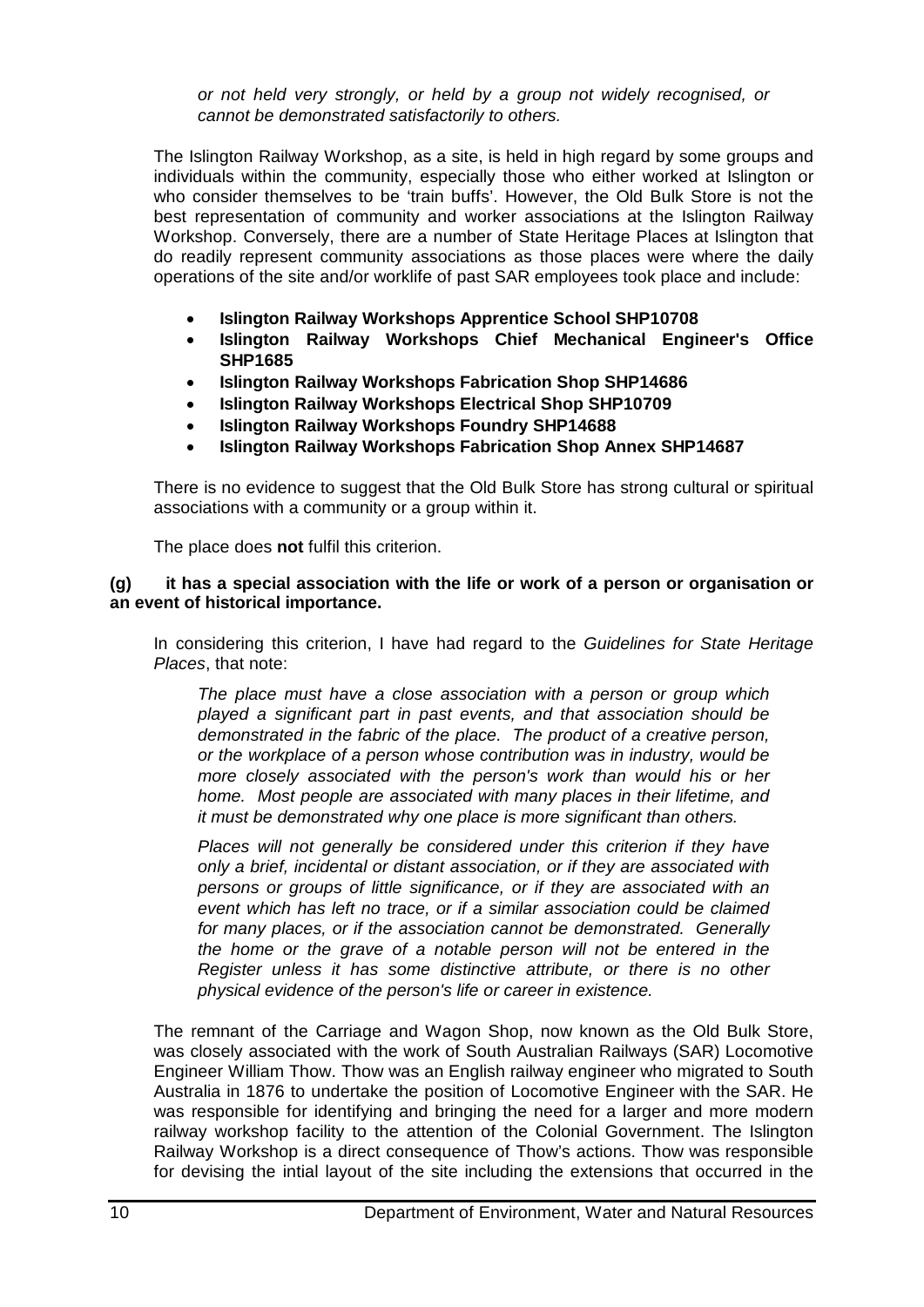*or not held very strongly, or held by a group not widely recognised, or cannot be demonstrated satisfactorily to others.*

The Islington Railway Workshop, as a site, is held in high regard by some groups and individuals within the community, especially those who either worked at Islington or who consider themselves to be 'train buffs'. However, the Old Bulk Store is not the best representation of community and worker associations at the Islington Railway Workshop. Conversely, there are a number of State Heritage Places at Islington that do readily represent community associations as those places were where the daily operations of the site and/or worklife of past SAR employees took place and include:

- **Islington Railway Workshops Apprentice School SHP10708**
- **Islington Railway Workshops Chief Mechanical Engineer's Office SHP1685**
- **Islington Railway Workshops Fabrication Shop SHP14686**
- **Islington Railway Workshops Electrical Shop SHP10709**
- **Islington Railway Workshops Foundry SHP14688**
- **Islington Railway Workshops Fabrication Shop Annex SHP14687**

There is no evidence to suggest that the Old Bulk Store has strong cultural or spiritual associations with a community or a group within it.

The place does **not** fulfil this criterion.

#### **(g) it has a special association with the life or work of a person or organisation or an event of historical importance.**

In considering this criterion, I have had regard to the *Guidelines for State Heritage Places*, that note:

*The place must have a close association with a person or group which played a significant part in past events, and that association should be demonstrated in the fabric of the place. The product of a creative person, or the workplace of a person whose contribution was in industry, would be more closely associated with the person's work than would his or her home. Most people are associated with many places in their lifetime, and it must be demonstrated why one place is more significant than others.*

*Places will not generally be considered under this criterion if they have only a brief, incidental or distant association, or if they are associated with persons or groups of little significance, or if they are associated with an event which has left no trace, or if a similar association could be claimed for many places, or if the association cannot be demonstrated. Generally the home or the grave of a notable person will not be entered in the Register unless it has some distinctive attribute, or there is no other physical evidence of the person's life or career in existence.*

The remnant of the Carriage and Wagon Shop, now known as the Old Bulk Store, was closely associated with the work of South Australian Railways (SAR) Locomotive Engineer William Thow. Thow was an English railway engineer who migrated to South Australia in 1876 to undertake the position of Locomotive Engineer with the SAR. He was responsible for identifying and bringing the need for a larger and more modern railway workshop facility to the attention of the Colonial Government. The Islington Railway Workshop is a direct consequence of Thow's actions. Thow was responsible for devising the intial layout of the site including the extensions that occurred in the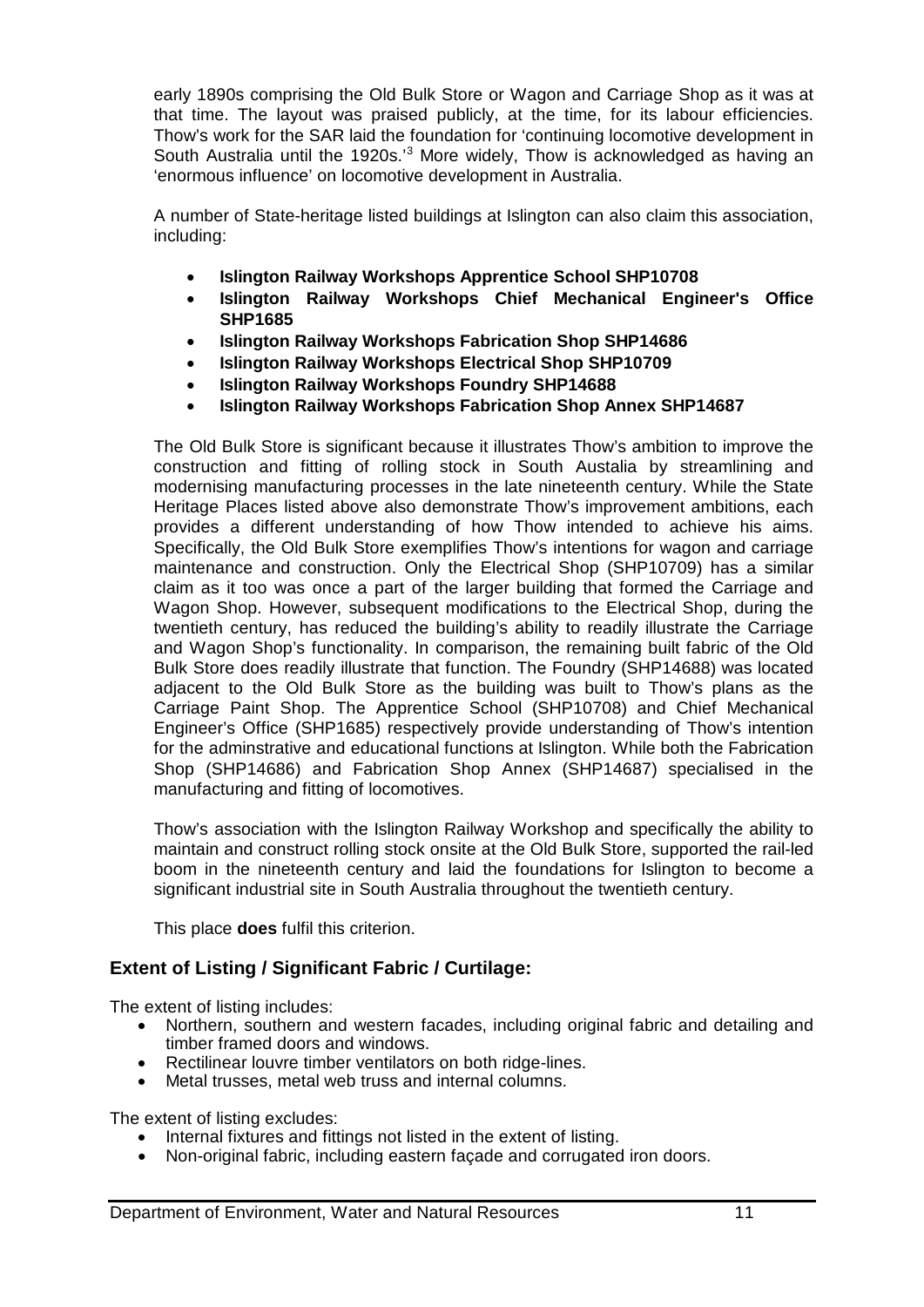early 1890s comprising the Old Bulk Store or Wagon and Carriage Shop as it was at that time. The layout was praised publicly, at the time, for its labour efficiencies. Thow's work for the SAR laid the foundation for 'continuing locomotive development in South Australia until the 1920s.'3 More widely, Thow is acknowledged as having an 'enormous influence' on locomotive development in Australia.

A number of State-heritage listed buildings at Islington can also claim this association, including:

- **Islington Railway Workshops Apprentice School SHP10708**
- **Islington Railway Workshops Chief Mechanical Engineer's Office SHP1685**
- **Islington Railway Workshops Fabrication Shop SHP14686**
- **Islington Railway Workshops Electrical Shop SHP10709**
- **Islington Railway Workshops Foundry SHP14688**
- **Islington Railway Workshops Fabrication Shop Annex SHP14687**

The Old Bulk Store is significant because it illustrates Thow's ambition to improve the construction and fitting of rolling stock in South Austalia by streamlining and modernising manufacturing processes in the late nineteenth century. While the State Heritage Places listed above also demonstrate Thow's improvement ambitions, each provides a different understanding of how Thow intended to achieve his aims. Specifically, the Old Bulk Store exemplifies Thow's intentions for wagon and carriage maintenance and construction. Only the Electrical Shop (SHP10709) has a similar claim as it too was once a part of the larger building that formed the Carriage and Wagon Shop. However, subsequent modifications to the Electrical Shop, during the twentieth century, has reduced the building's ability to readily illustrate the Carriage and Wagon Shop's functionality. In comparison, the remaining built fabric of the Old Bulk Store does readily illustrate that function. The Foundry (SHP14688) was located adjacent to the Old Bulk Store as the building was built to Thow's plans as the Carriage Paint Shop. The Apprentice School (SHP10708) and Chief Mechanical Engineer's Office (SHP1685) respectively provide understanding of Thow's intention for the adminstrative and educational functions at Islington. While both the Fabrication Shop (SHP14686) and Fabrication Shop Annex (SHP14687) specialised in the manufacturing and fitting of locomotives.

Thow's association with the Islington Railway Workshop and specifically the ability to maintain and construct rolling stock onsite at the Old Bulk Store, supported the rail-led boom in the nineteenth century and laid the foundations for Islington to become a significant industrial site in South Australia throughout the twentieth century.

This place **does** fulfil this criterion.

# **Extent of Listing / Significant Fabric / Curtilage:**

The extent of listing includes:

- Northern, southern and western facades, including original fabric and detailing and timber framed doors and windows.
- Rectilinear louvre timber ventilators on both ridge-lines.
- Metal trusses, metal web truss and internal columns.

The extent of listing excludes:

- Internal fixtures and fittings not listed in the extent of listing.
- Non-original fabric, including eastern façade and corrugated iron doors.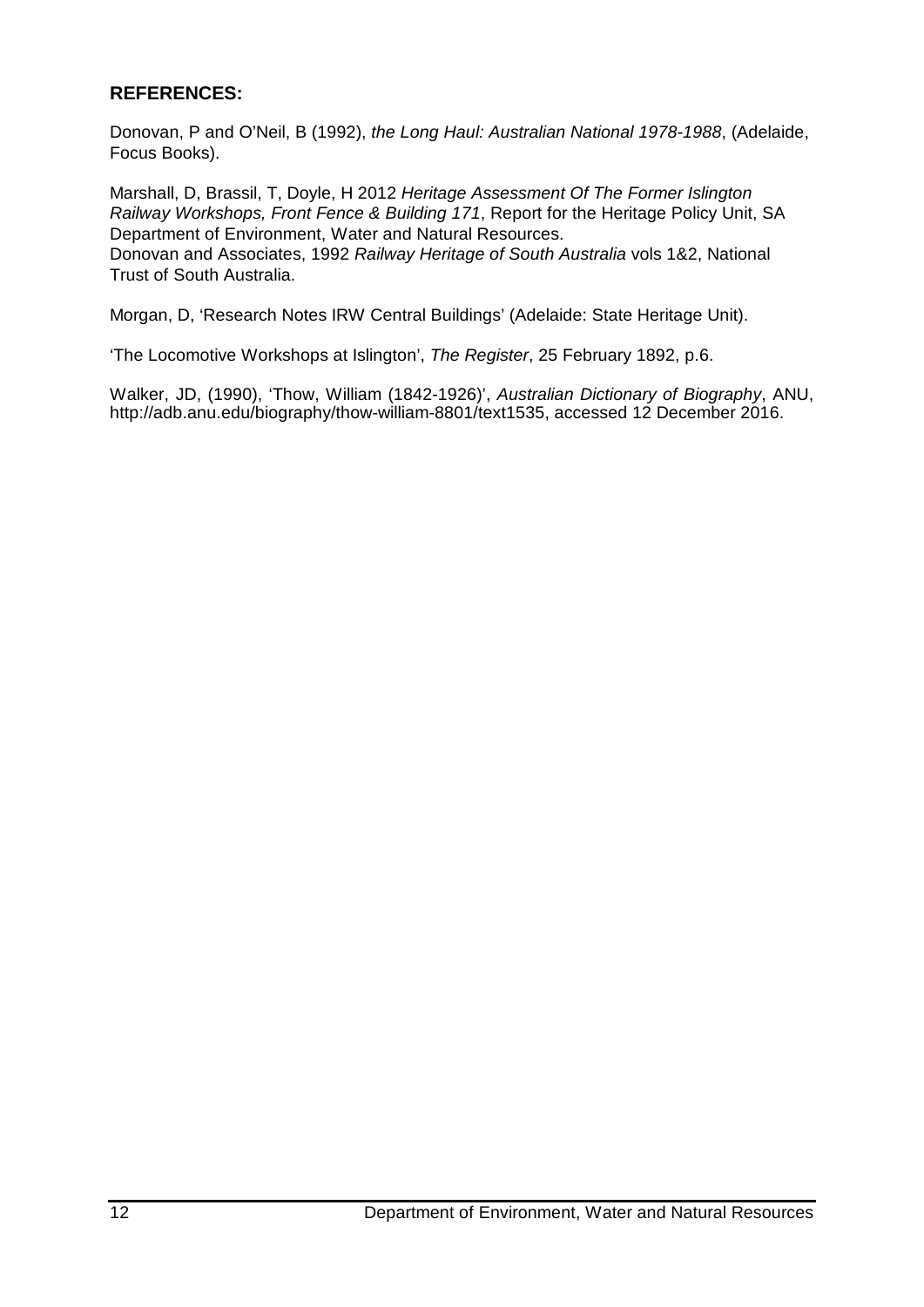# **REFERENCES:**

Donovan, P and O'Neil, B (1992), *the Long Haul: Australian National 1978-1988*, (Adelaide, Focus Books).

Marshall, D, Brassil, T, Doyle, H 2012 *Heritage Assessment Of The Former Islington Railway Workshops, Front Fence & Building 171*, Report for the Heritage Policy Unit, SA Department of Environment, Water and Natural Resources. Donovan and Associates, 1992 *Railway Heritage of South Australia* vols 1&2, National Trust of South Australia.

Morgan, D, 'Research Notes IRW Central Buildings' (Adelaide: State Heritage Unit).

'The Locomotive Workshops at Islington', *The Register*, 25 February 1892, p.6.

Walker, JD, (1990), 'Thow, William (1842-1926)', *Australian Dictionary of Biography*, ANU, http://adb.anu.edu/biography/thow-william-8801/text1535, accessed 12 December 2016.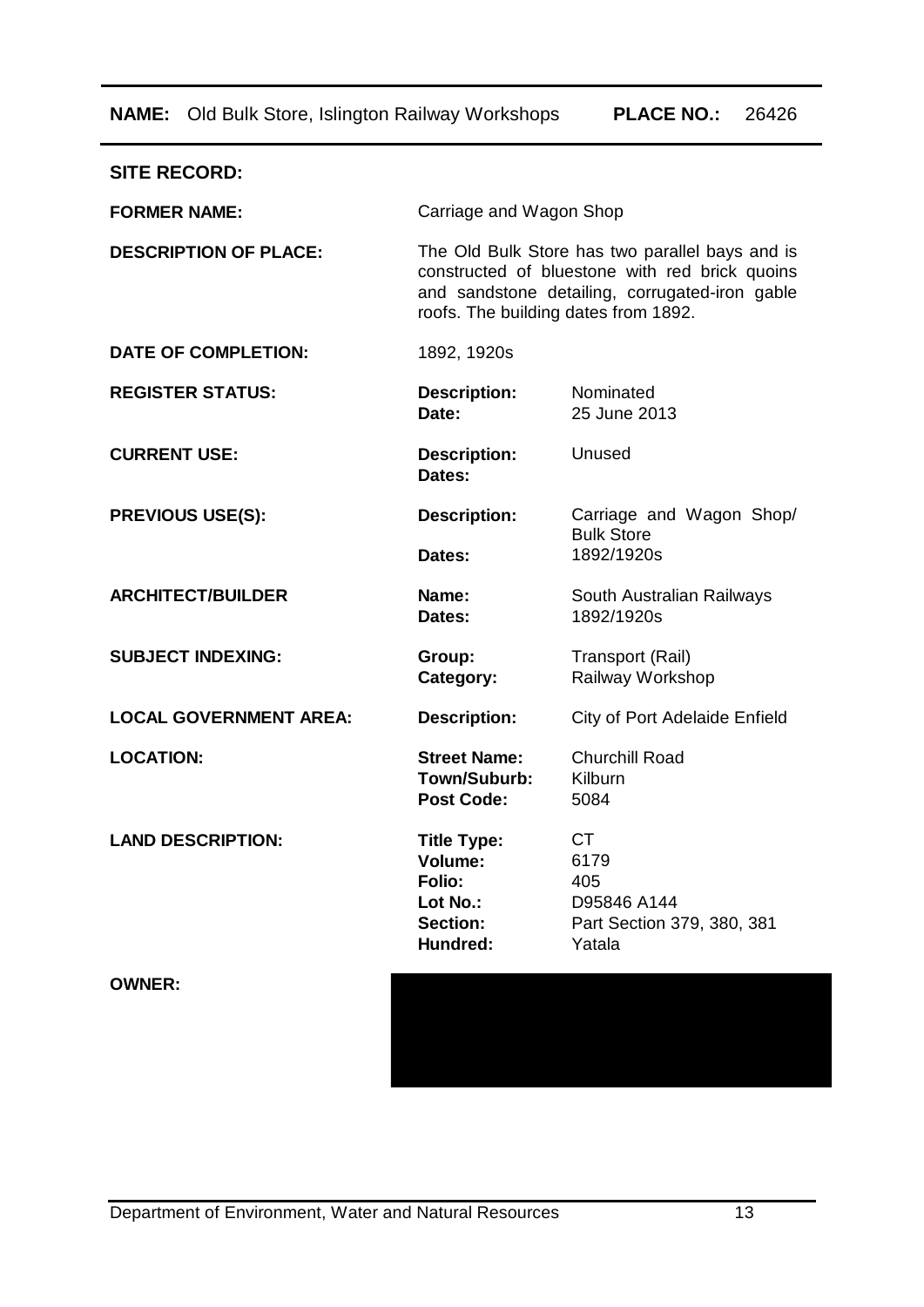**NAME:** Old Bulk Store, Islington Railway Workshops **PLACE NO.:** 26426

| <b>SITE RECORD:</b>           |                                                                                                                                                                                             |                                                                                 |  |  |
|-------------------------------|---------------------------------------------------------------------------------------------------------------------------------------------------------------------------------------------|---------------------------------------------------------------------------------|--|--|
| <b>FORMER NAME:</b>           | Carriage and Wagon Shop                                                                                                                                                                     |                                                                                 |  |  |
| <b>DESCRIPTION OF PLACE:</b>  | The Old Bulk Store has two parallel bays and is<br>constructed of bluestone with red brick quoins<br>and sandstone detailing, corrugated-iron gable<br>roofs. The building dates from 1892. |                                                                                 |  |  |
| <b>DATE OF COMPLETION:</b>    | 1892, 1920s                                                                                                                                                                                 |                                                                                 |  |  |
| <b>REGISTER STATUS:</b>       | <b>Description:</b><br>Date:                                                                                                                                                                | Nominated<br>25 June 2013                                                       |  |  |
| <b>CURRENT USE:</b>           | <b>Description:</b><br>Dates:                                                                                                                                                               | Unused                                                                          |  |  |
| <b>PREVIOUS USE(S):</b>       | <b>Description:</b>                                                                                                                                                                         | Carriage and Wagon Shop/<br><b>Bulk Store</b>                                   |  |  |
|                               | Dates:                                                                                                                                                                                      | 1892/1920s                                                                      |  |  |
| <b>ARCHITECT/BUILDER</b>      | Name:<br>Dates:                                                                                                                                                                             | South Australian Railways<br>1892/1920s                                         |  |  |
| <b>SUBJECT INDEXING:</b>      | Group:<br>Category:                                                                                                                                                                         | Transport (Rail)<br>Railway Workshop                                            |  |  |
| <b>LOCAL GOVERNMENT AREA:</b> | <b>Description:</b>                                                                                                                                                                         | City of Port Adelaide Enfield                                                   |  |  |
| <b>LOCATION:</b>              | <b>Street Name:</b><br>Town/Suburb:<br><b>Post Code:</b>                                                                                                                                    | <b>Churchill Road</b><br>Kilburn<br>5084                                        |  |  |
| <b>LAND DESCRIPTION:</b>      | <b>Title Type:</b><br>Volume:<br>Folio:<br>Lot No.:<br><b>Section:</b><br>Hundred:                                                                                                          | <b>CT</b><br>6179<br>405<br>D95846 A144<br>Part Section 379, 380, 381<br>Yatala |  |  |
| <b>OWNER:</b>                 |                                                                                                                                                                                             |                                                                                 |  |  |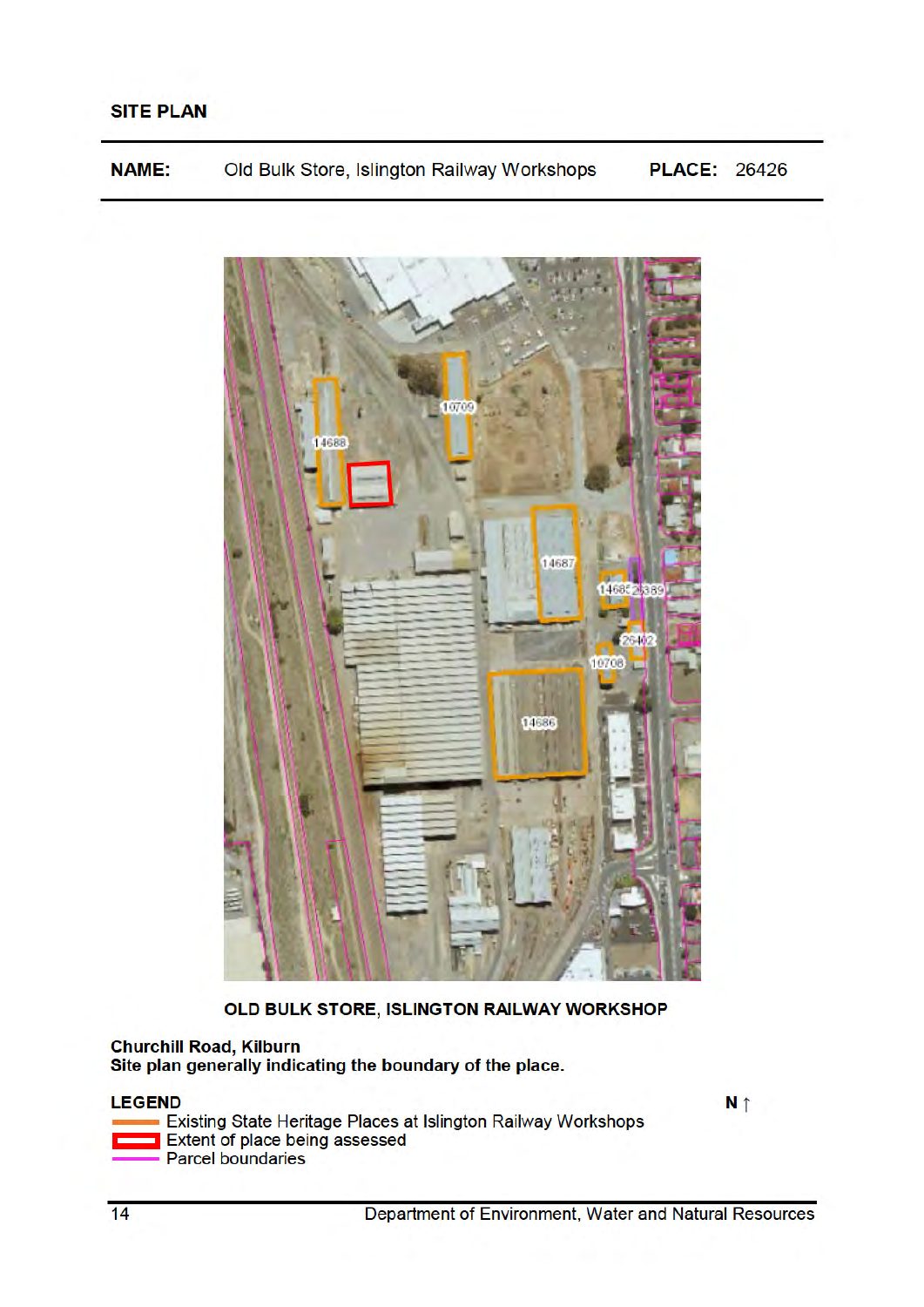**NAME:** Old Bulk Store, Islington Railway Workshops **PLACE: 26426** 



OLD BULK STORE, ISLINGTON RAILWAY WORKSHOP

#### **Churchill Road, Kilburn** Site plan generally indicating the boundary of the place.

## **LEGEND**

Existing State Heritage Places at Islington Railway Workshops<br>Extent of place being assessed - Parcel boundaries

N<sub>1</sub>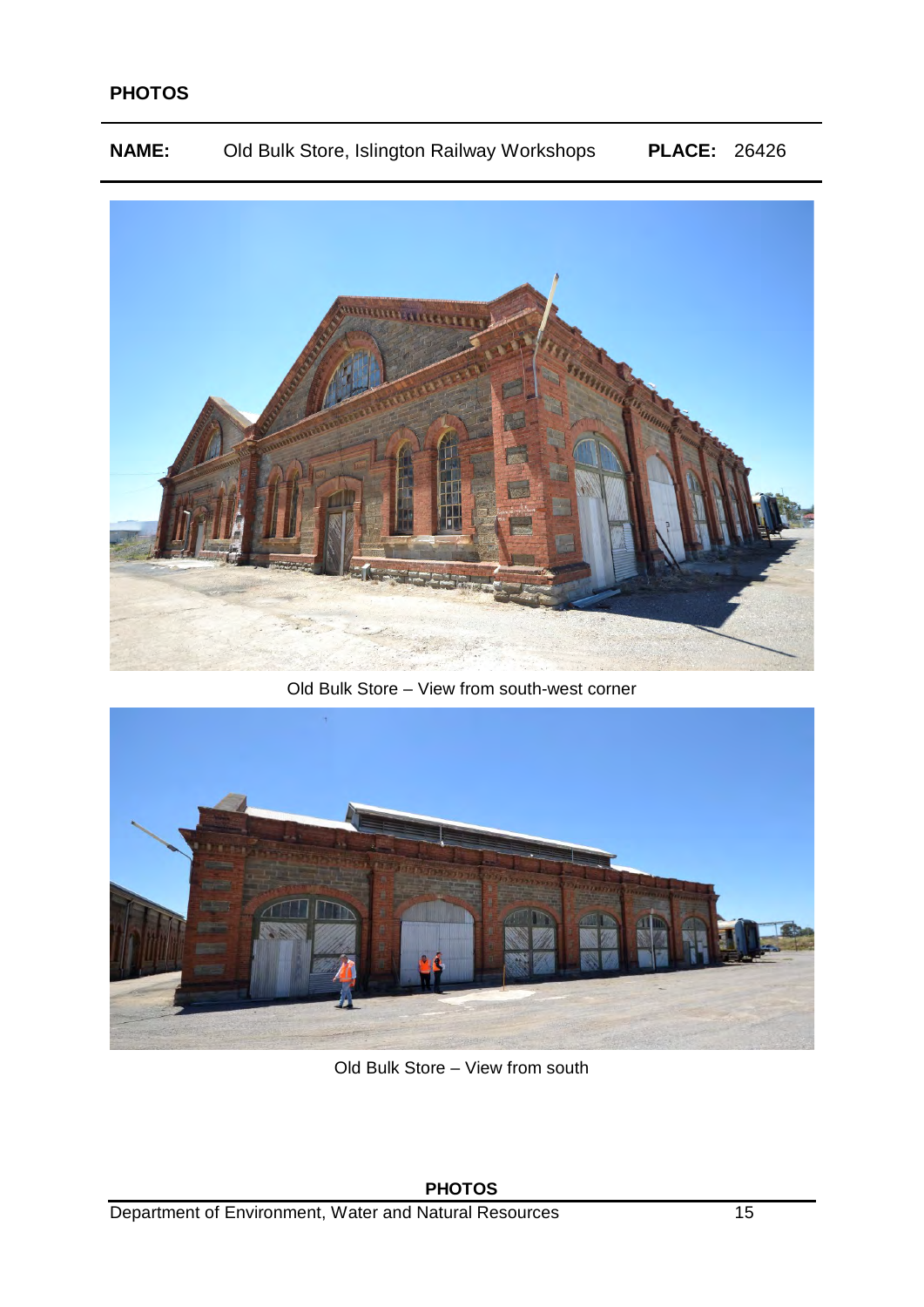**NAME:** Old Bulk Store, Islington Railway Workshops **PLACE:** 26426



Old Bulk Store – View from south-west corner



Old Bulk Store – View from south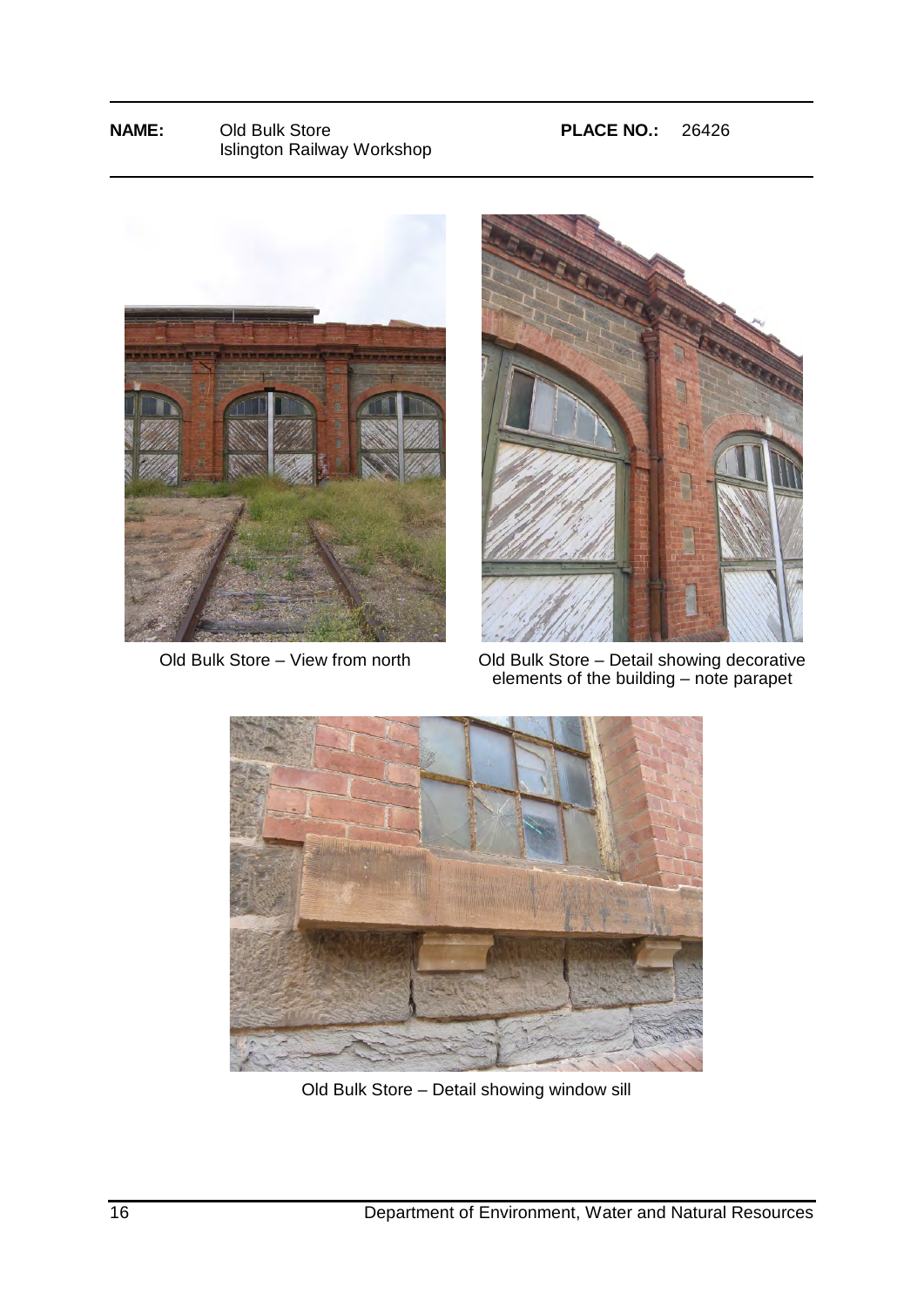## **NAME:** Old Bulk Store **PLACE NO.:** 26426 Islington Railway Workshop





Old Bulk Store – View from north Old Bulk Store – Detail showing decorative elements of the building – note parapet



Old Bulk Store – Detail showing window sill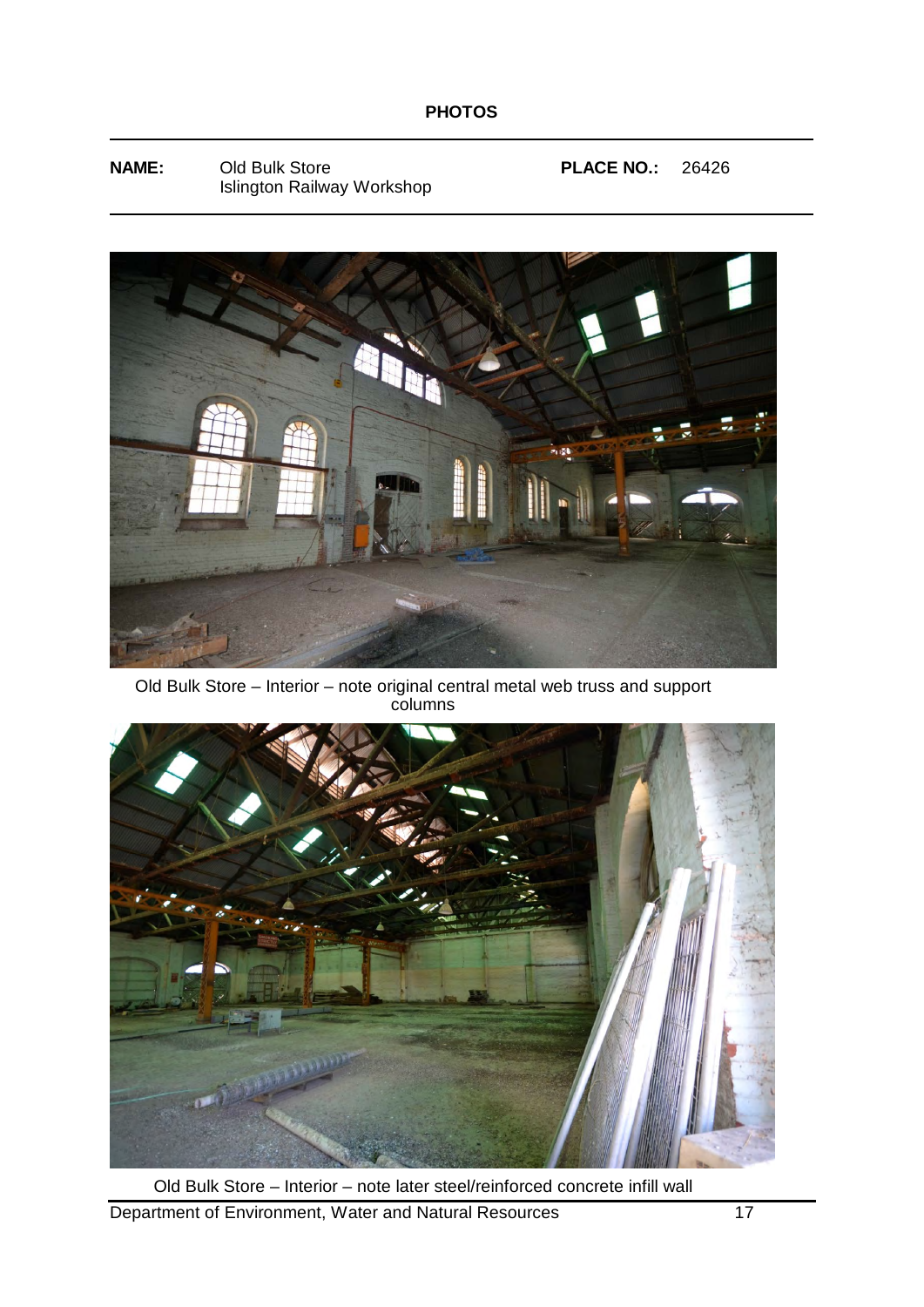**NAME:** Old Bulk Store **PLACE NO.:** 26426 Islington Railway Workshop



Old Bulk Store – Interior – note original central metal web truss and support columns



Department of Environment, Water and Natural Resources 17 Old Bulk Store – Interior – note later steel/reinforced concrete infill wall